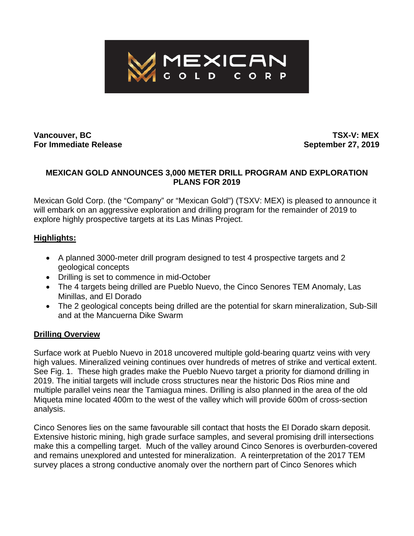

# **Vancouver, BC TSX-V: MEX**

**For Immediate Release September 27, 2019**

#### **MEXICAN GOLD ANNOUNCES 3,000 METER DRILL PROGRAM AND EXPLORATION PLANS FOR 2019**

Mexican Gold Corp. (the "Company" or "Mexican Gold") (TSXV: MEX) is pleased to announce it will embark on an aggressive exploration and drilling program for the remainder of 2019 to explore highly prospective targets at its Las Minas Project.

### **Highlights:**

- A planned 3000-meter drill program designed to test 4 prospective targets and 2 geological concepts
- Drilling is set to commence in mid-October
- The 4 targets being drilled are Pueblo Nuevo, the Cinco Senores TEM Anomaly, Las Minillas, and El Dorado
- The 2 geological concepts being drilled are the potential for skarn mineralization, Sub-Sill and at the Mancuerna Dike Swarm

### **Drilling Overview**

Surface work at Pueblo Nuevo in 2018 uncovered multiple gold-bearing quartz veins with very high values. Mineralized veining continues over hundreds of metres of strike and vertical extent. See Fig. 1. These high grades make the Pueblo Nuevo target a priority for diamond drilling in 2019. The initial targets will include cross structures near the historic Dos Rios mine and multiple parallel veins near the Tamiagua mines. Drilling is also planned in the area of the old Miqueta mine located 400m to the west of the valley which will provide 600m of cross-section analysis.

Cinco Senores lies on the same favourable sill contact that hosts the El Dorado skarn deposit. Extensive historic mining, high grade surface samples, and several promising drill intersections make this a compelling target. Much of the valley around Cinco Senores is overburden-covered and remains unexplored and untested for mineralization. A reinterpretation of the 2017 TEM survey places a strong conductive anomaly over the northern part of Cinco Senores which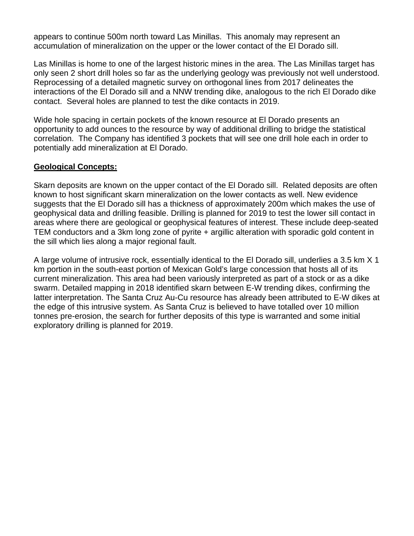appears to continue 500m north toward Las Minillas. This anomaly may represent an accumulation of mineralization on the upper or the lower contact of the El Dorado sill.

Las Minillas is home to one of the largest historic mines in the area. The Las Minillas target has only seen 2 short drill holes so far as the underlying geology was previously not well understood. Reprocessing of a detailed magnetic survey on orthogonal lines from 2017 delineates the interactions of the El Dorado sill and a NNW trending dike, analogous to the rich El Dorado dike contact. Several holes are planned to test the dike contacts in 2019.

Wide hole spacing in certain pockets of the known resource at El Dorado presents an opportunity to add ounces to the resource by way of additional drilling to bridge the statistical correlation. The Company has identified 3 pockets that will see one drill hole each in order to potentially add mineralization at El Dorado.

#### **Geological Concepts:**

Skarn deposits are known on the upper contact of the El Dorado sill. Related deposits are often known to host significant skarn mineralization on the lower contacts as well. New evidence suggests that the El Dorado sill has a thickness of approximately 200m which makes the use of geophysical data and drilling feasible. Drilling is planned for 2019 to test the lower sill contact in areas where there are geological or geophysical features of interest. These include deep-seated TEM conductors and a 3km long zone of pyrite + argillic alteration with sporadic gold content in the sill which lies along a major regional fault.

A large volume of intrusive rock, essentially identical to the El Dorado sill, underlies a 3.5 km X 1 km portion in the south-east portion of Mexican Gold's large concession that hosts all of its current mineralization. This area had been variously interpreted as part of a stock or as a dike swarm. Detailed mapping in 2018 identified skarn between E-W trending dikes, confirming the latter interpretation. The Santa Cruz Au-Cu resource has already been attributed to E-W dikes at the edge of this intrusive system. As Santa Cruz is believed to have totalled over 10 million tonnes pre-erosion, the search for further deposits of this type is warranted and some initial exploratory drilling is planned for 2019.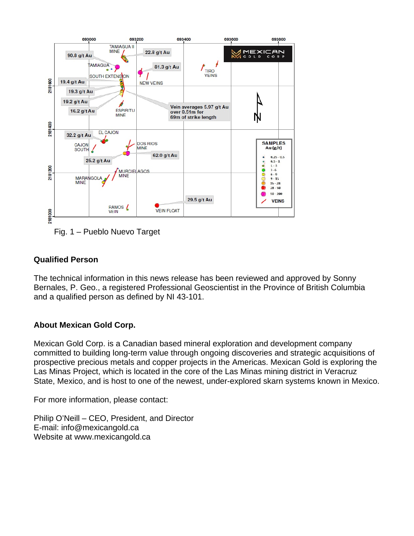

Fig. 1 – Pueblo Nuevo Target

## **Qualified Person**

The technical information in this news release has been reviewed and approved by Sonny Bernales, P. Geo., a registered Professional Geoscientist in the Province of British Columbia and a qualified person as defined by NI 43-101.

### **About Mexican Gold Corp.**

Mexican Gold Corp. is a Canadian based mineral exploration and development company committed to building long-term value through ongoing discoveries and strategic acquisitions of prospective precious metals and copper projects in the Americas. Mexican Gold is exploring the Las Minas Project, which is located in the core of the Las Minas mining district in Veracruz State, Mexico, and is host to one of the newest, under-explored skarn systems known in Mexico.

For more information, please contact:

Philip O'Neill – CEO, President, and Director E-mail: info@mexicangold.ca Website at www.mexicangold.ca